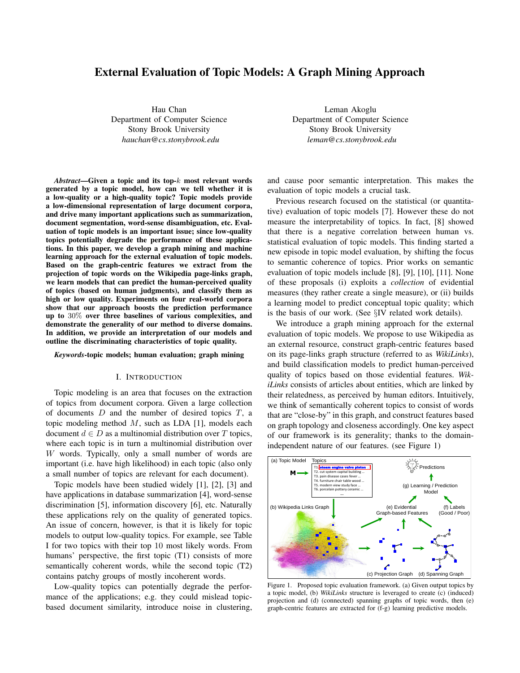# External Evaluation of Topic Models: A Graph Mining Approach

Hau Chan Department of Computer Science Stony Brook University *hauchan@cs.stonybrook.edu*

Leman Akoglu Department of Computer Science Stony Brook University *leman@cs.stonybrook.edu*

*Abstract*—Given a topic and its top-k most relevant words generated by a topic model, how can we tell whether it is a low-quality or a high-quality topic? Topic models provide a low-dimensional representation of large document corpora, and drive many important applications such as summarization, document segmentation, word-sense disambiguation, etc. Evaluation of topic models is an important issue; since low-quality topics potentially degrade the performance of these applications. In this paper, we develop a graph mining and machine learning approach for the external evaluation of topic models. Based on the graph-centric features we extract from the projection of topic words on the Wikipedia page-links graph, we learn models that can predict the human-perceived quality of topics (based on human judgments), and classify them as high or low quality. Experiments on four real-world corpora show that our approach boosts the prediction performance up to 30% over three baselines of various complexities, and demonstrate the generality of our method to diverse domains. In addition, we provide an interpretation of our models and outline the discriminating characteristics of topic quality.

#### *Keywords*-topic models; human evaluation; graph mining

### I. INTRODUCTION

Topic modeling is an area that focuses on the extraction of topics from document corpora. Given a large collection of documents  $D$  and the number of desired topics  $T$ , a topic modeling method  $M$ , such as LDA [1], models each document  $d \in D$  as a multinomial distribution over T topics, where each topic is in turn a multinomial distribution over W words. Typically, only a small number of words are important (i.e. have high likelihood) in each topic (also only a small number of topics are relevant for each document).

Topic models have been studied widely [1], [2], [3] and have applications in database summarization [4], word-sense discrimination [5], information discovery [6], etc. Naturally these applications rely on the quality of generated topics. An issue of concern, however, is that it is likely for topic models to output low-quality topics. For example, see Table I for two topics with their top 10 most likely words. From humans' perspective, the first topic (T1) consists of more semantically coherent words, while the second topic (T2) contains patchy groups of mostly incoherent words.

Low-quality topics can potentially degrade the performance of the applications; e.g. they could mislead topicbased document similarity, introduce noise in clustering, and cause poor semantic interpretation. This makes the evaluation of topic models a crucial task.

Previous research focused on the statistical (or quantitative) evaluation of topic models [7]. However these do not measure the interpretability of topics. In fact, [8] showed that there is a negative correlation between human vs. statistical evaluation of topic models. This finding started a new episode in topic model evaluation, by shifting the focus to semantic coherence of topics. Prior works on semantic evaluation of topic models include [8], [9], [10], [11]. None of these proposals (i) exploits a *collection* of evidential measures (they rather create a single measure), or (ii) builds a learning model to predict conceptual topic quality; which is the basis of our work. (See §IV related work details).

We introduce a graph mining approach for the external evaluation of topic models. We propose to use Wikipedia as an external resource, construct graph-centric features based on its page-links graph structure (referred to as *WikiLinks*), and build classification models to predict human-perceived quality of topics based on those evidential features. *WikiLinks* consists of articles about entities, which are linked by their relatedness, as perceived by human editors. Intuitively, we think of semantically coherent topics to consist of words that are "close-by" in this graph, and construct features based on graph topology and closeness accordingly. One key aspect of our framework is its generality; thanks to the domainindependent nature of our features. (see Figure 1)



Figure 1. Proposed topic evaluation framework. (a) Given output topics by a topic model, (b) *WikiLinks* structure is leveraged to create (c) (induced) projection and (d) (connected) spanning graphs of topic words, then (e) graph-centric features are extracted for (f-g) learning predictive models.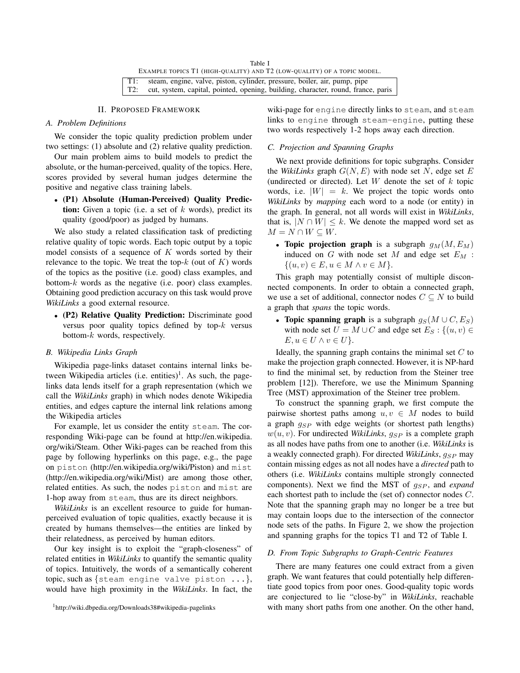Table I EXAMPLE TOPICS T1 (HIGH-QUALITY) AND T2 (LOW-QUALITY) OF A TOPIC MODEL. T1: steam, engine, valve, piston, cylinder, pressure, boiler, air, pump, pipe T2: cut, system, capital, pointed, opening, building, character, round, france, paris

### II. PROPOSED FRAMEWORK

# *A. Problem Definitions*

We consider the topic quality prediction problem under two settings: (1) absolute and (2) relative quality prediction.

Our main problem aims to build models to predict the absolute, or the human-perceived, quality of the topics. Here, scores provided by several human judges determine the positive and negative class training labels.

• (P1) Absolute (Human-Perceived) Quality Prediction: Given a topic (i.e. a set of  $k$  words), predict its quality (good/poor) as judged by humans.

We also study a related classification task of predicting relative quality of topic words. Each topic output by a topic model consists of a sequence of  $K$  words sorted by their relevance to the topic. We treat the top- $k$  (out of  $K$ ) words of the topics as the positive (i.e. good) class examples, and bottom- $k$  words as the negative (i.e. poor) class examples. Obtaining good prediction accuracy on this task would prove *WikiLinks* a good external resource.

• (P2) Relative Quality Prediction: Discriminate good versus poor quality topics defined by top- $k$  versus bottom- $k$  words, respectively.

# *B. Wikipedia Links Graph*

Wikipedia page-links dataset contains internal links between Wikipedia articles (i.e. entities)<sup>1</sup>. As such, the pagelinks data lends itself for a graph representation (which we call the *WikiLinks* graph) in which nodes denote Wikipedia entities, and edges capture the internal link relations among the Wikipedia articles

For example, let us consider the entity steam. The corresponding Wiki-page can be found at http://en.wikipedia. org/wiki/Steam. Other Wiki-pages can be reached from this page by following hyperlinks on this page, e.g., the page on piston (http://en.wikipedia.org/wiki/Piston) and mist (http://en.wikipedia.org/wiki/Mist) are among those other, related entities. As such, the nodes piston and mist are 1-hop away from steam, thus are its direct neighbors.

*WikiLinks* is an excellent resource to guide for humanperceived evaluation of topic qualities, exactly because it is created by humans themselves—the entities are linked by their relatedness, as perceived by human editors.

Our key insight is to exploit the "graph-closeness" of related entities in *WikiLinks* to quantify the semantic quality of topics. Intuitively, the words of a semantically coherent topic, such as {steam engine valve piston ...}, would have high proximity in the *WikiLinks*. In fact, the wiki-page for engine directly links to steam, and steam links to engine through steam-engine, putting these two words respectively 1-2 hops away each direction.

# *C. Projection and Spanning Graphs*

We next provide definitions for topic subgraphs. Consider the *WikiLinks* graph  $G(N, E)$  with node set N, edge set E (undirected or directed). Let  $W$  denote the set of  $k$  topic words, i.e.  $|W| = k$ . We project the topic words onto *WikiLinks* by *mapping* each word to a node (or entity) in the graph. In general, not all words will exist in *WikiLinks*, that is,  $|N \cap W| \leq k$ . We denote the mapped word set as  $M = N \cap W \subseteq W$ .

• Topic projection graph is a subgraph  $g_M(M, E_M)$ induced on  $G$  with node set  $M$  and edge set  $E_M$ :  $\{(u, v) \in E, u \in M \land v \in M\}.$ 

This graph may potentially consist of multiple disconnected components. In order to obtain a connected graph, we use a set of additional, connector nodes  $C \subseteq N$  to build a graph that *spans* the topic words.

• Topic spanning graph is a subgraph  $g_S(M \cup C, E_S)$ with node set  $U = M \cup C$  and edge set  $E_S : \{(u, v) \in$  $E, u \in U \wedge v \in U$ .

Ideally, the spanning graph contains the minimal set  $C$  to make the projection graph connected. However, it is NP-hard to find the minimal set, by reduction from the Steiner tree problem [12]). Therefore, we use the Minimum Spanning Tree (MST) approximation of the Steiner tree problem.

To construct the spanning graph, we first compute the pairwise shortest paths among  $u, v \in M$  nodes to build a graph  $g_{SP}$  with edge weights (or shortest path lengths)  $w(u, v)$ . For undirected *WikiLinks*,  $g_{SP}$  is a complete graph as all nodes have paths from one to another (i.e. *WikiLinks* is a weakly connected graph). For directed *WikiLinks*,  $q_{SP}$  may contain missing edges as not all nodes have a *directed* path to others (i.e. *WikiLinks* contains multiple strongly connected components). Next we find the MST of  $g_{SP}$ , and *expand* each shortest path to include the (set of) connector nodes C. Note that the spanning graph may no longer be a tree but may contain loops due to the intersection of the connector node sets of the paths. In Figure 2, we show the projection and spanning graphs for the topics T1 and T2 of Table I.

### *D. From Topic Subgraphs to Graph-Centric Features*

There are many features one could extract from a given graph. We want features that could potentially help differentiate good topics from poor ones. Good-quality topic words are conjectured to lie "close-by" in *WikiLinks*, reachable with many short paths from one another. On the other hand,

<sup>1</sup>http://wiki.dbpedia.org/Downloads38#wikipedia-pagelinks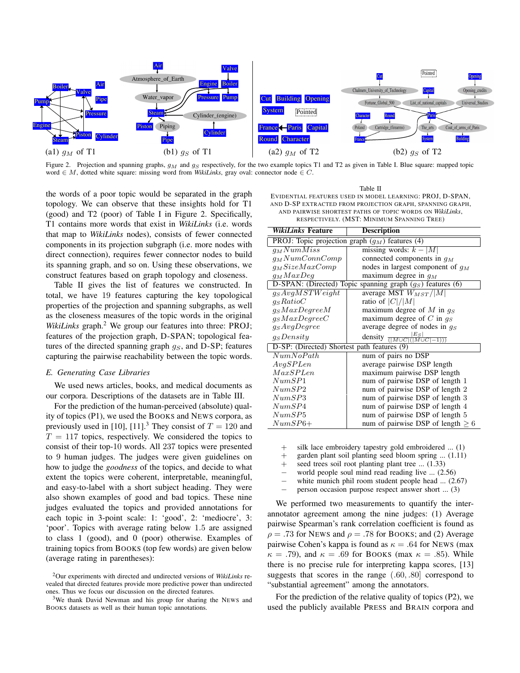

Figure 2. Projection and spanning graphs,  $g_M$  and  $g_S$  respectively, for the two example topics T1 and T2 as given in Table I. Blue square: mapped topic word ∈ M, dotted white square: missing word from *WikiLinks*, gray oval: connector node ∈ C.

the words of a poor topic would be separated in the graph topology. We can observe that these insights hold for T1 (good) and T2 (poor) of Table I in Figure 2. Specifically, T1 contains more words that exist in *WikiLinks* (i.e. words that map to *WikiLinks* nodes), consists of fewer connected components in its projection subgraph (i.e. more nodes with direct connection), requires fewer connector nodes to build its spanning graph, and so on. Using these observations, we construct features based on graph topology and closeness.

Table II gives the list of features we constructed. In total, we have 19 features capturing the key topological properties of the projection and spanning subgraphs, as well as the closeness measures of the topic words in the original *WikiLinks* graph.<sup>2</sup> We group our features into three: PROJ; features of the projection graph, D-SPAN; topological features of the directed spanning graph  $g_S$ , and D-SP; features capturing the pairwise reachability between the topic words.

# *E. Generating Case Libraries*

We used news articles, books, and medical documents as our corpora. Descriptions of the datasets are in Table III.

For the prediction of the human-perceived (absolute) quality of topics (P1), we used the BOOKS and NEWS corpora, as previously used in [10], [11].<sup>3</sup> They consist of  $T = 120$  and  $T = 117$  topics, respectively. We considered the topics to consist of their top-10 words. All 237 topics were presented to 9 human judges. The judges were given guidelines on how to judge the *goodness* of the topics, and decide to what extent the topics were coherent, interpretable, meaningful, and easy-to-label with a short subject heading. They were also shown examples of good and bad topics. These nine judges evaluated the topics and provided annotations for each topic in 3-point scale: 1: 'good', 2: 'mediocre', 3: 'poor'. Topics with average rating below 1.5 are assigned to class 1 (good), and 0 (poor) otherwise. Examples of training topics from BOOKS (top few words) are given below (average rating in parentheses):

Table II EVIDENTIAL FEATURES USED IN MODEL LEARNING: PROJ, D-SPAN, AND D-SP EXTRACTED FROM PROJECTION GRAPH, SPANNING GRAPH, AND PAIRWISE SHORTEST PATHS OF TOPIC WORDS ON *WikiLinks*, RESPECTIVELY. (MST: MINIMUM SPANNING TREE)

| WikiLinks Feature                           | <b>Description</b>                                                    |  |  |
|---------------------------------------------|-----------------------------------------------------------------------|--|--|
|                                             | PROJ: Topic projection $\overline{\text{graph}(g_M)}$ features (4)    |  |  |
| $q_M NumMiss$                               | missing words: $k -  M $                                              |  |  |
| $q_M NumConnComp$                           | connected components in $q_M$                                         |  |  |
| $q_M SizeMaxComp$                           | nodes in largest component of $q_M$                                   |  |  |
| $q_M MaxDeg$                                | maximum degree in $q_M$                                               |  |  |
|                                             | D-SPAN: (Directed) Topic spanning graph $(g_S)$ features (6)          |  |  |
| $\overline{g_SAvgMSTWeight}$                | average MST $W_{MST}/ M $                                             |  |  |
| $q_S Ratio$                                 | ratio of $ C / M $                                                    |  |  |
| $q_S MaxDegreeM$                            | maximum degree of M in $q_S$                                          |  |  |
| $q_S MaxDegreeC$                            | maximum degree of C in $q_S$                                          |  |  |
| $q_SAvgDegree$                              | average degree of nodes in $q_S$                                      |  |  |
| q <sub>S</sub> Density                      | $\frac{ E_S }{\left( M\cup C ( M\cup C -1)\right)\right)}$<br>density |  |  |
| D-SP: (Directed) Shortest path features (9) |                                                                       |  |  |
| NumNoPath                                   | num of pairs no DSP                                                   |  |  |
| AvgSPLen                                    | average pairwise DSP length                                           |  |  |
| MaxSPLen                                    | maximum pairwise DSP length                                           |  |  |
| NumSP1                                      | num of pairwise DSP of length 1                                       |  |  |
| NumSP2                                      | num of pairwise DSP of length 2                                       |  |  |
| NumSP3                                      | num of pairwise DSP of length 3                                       |  |  |
| NumSP4                                      | num of pairwise DSP of length 4                                       |  |  |
| NumSP5                                      | num of pairwise DSP of length 5                                       |  |  |
| $NumSP6+$                                   | num of pairwise DSP of length $\geq 6$                                |  |  |

+ silk lace embroidery tapestry gold embroidered ... (1)

+ garden plant soil planting seed bloom spring ... (1.11)

+ seed trees soil root planting plant tree ... (1.33)

- world people soul mind read reading live  $\dots$  (2.56)
- white munich phil room student people head ... (2.67)
- person occasion purpose respect answer short ... (3)

We performed two measurements to quantify the interannotator agreement among the nine judges: (1) Average pairwise Spearman's rank correlation coefficient is found as  $\rho = .73$  for NEWS and  $\rho = .78$  for BOOKS; and (2) Average pairwise Cohen's kappa is found as  $\kappa = .64$  for NEWS (max  $\kappa = .79$ ), and  $\kappa = .69$  for BOOKS (max  $\kappa = .85$ ). While there is no precise rule for interpreting kappa scores, [13] suggests that scores in the range (.60, .80] correspond to "substantial agreement" among the annotators.

For the prediction of the relative quality of topics (P2), we used the publicly available PRESS and BRAIN corpora and

<sup>2</sup>Our experiments with directed and undirected versions of *WikiLinks* revealed that directed features provide more predictive power than undirected ones. Thus we focus our discussion on the directed features.

<sup>&</sup>lt;sup>3</sup>We thank David Newman and his group for sharing the NEWS and BOOKS datasets as well as their human topic annotations.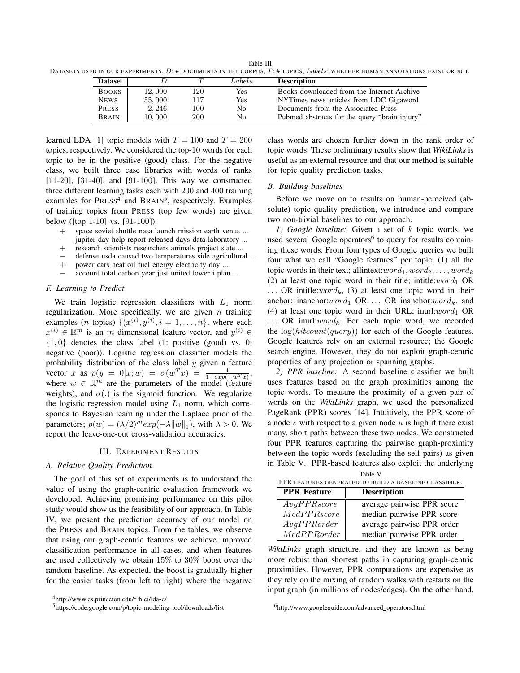Table III DATASETS USED IN OUR EXPERIMENTS.  $D$ : # DOCUMENTS IN THE CORPUS,  $T$ : # TOPICS,  $Labels$ : WHETHER HUMAN ANNOTATIONS EXIST OR NOT.

| <b>Dataset</b> |        | ᠇   | Labels | <b>Description</b>                            |
|----------------|--------|-----|--------|-----------------------------------------------|
| <b>BOOKS</b>   | 12.000 | 120 | Yes    | Books downloaded from the Internet Archive    |
| <b>NEWS</b>    | 55,000 | 117 | Yes    | NYTimes news articles from LDC Gigaword       |
| <b>PRESS</b>   | 2.246  | 100 | No     | Documents from the Associated Press           |
| <b>BRAIN</b>   | 10.000 | 200 | No     | Pubmed abstracts for the query "brain injury" |

learned LDA [1] topic models with  $T = 100$  and  $T = 200$ topics, respectively. We considered the top-10 words for each topic to be in the positive (good) class. For the negative class, we built three case libraries with words of ranks [11-20], [31-40], and [91-100]. This way we constructed three different learning tasks each with 200 and 400 training examples for PRESS<sup>4</sup> and BRAIN<sup>5</sup>, respectively. Examples of training topics from PRESS (top few words) are given below ([top 1-10] vs. [91-100]):

- + space soviet shuttle nasa launch mission earth venus ...
- jupiter day help report released days data laboratory ...
- + research scientists researchers animals project state ...
- − defense usda caused two temperatures side agricultural ...<br>+ power cars heat oil fuel energy electricity day ...
- power cars heat oil fuel energy electricity day ...
- account total carbon year just united lower i plan ...

# *F. Learning to Predict*

We train logistic regression classifiers with  $L_1$  norm regularization. More specifically, we are given  $n$  training examples (*n* topics)  $\{(x^{(i)}, y^{(i)}, i = 1, \ldots, n\})$ , where each  $x^{(i)} \in \mathbb{R}^m$  is an m dimensional feature vector, and  $y^{(i)} \in$  $\{1, 0\}$  denotes the class label (1: positive (good) vs. 0: negative (poor)). Logistic regression classifier models the probability distribution of the class label  $y$  given a feature vector x as  $p(y = 0|x; w) = \sigma(w^T x) = \frac{1}{1 + exp(-w^T x)}$ , where  $w \in \mathbb{R}^m$  are the parameters of the model (feature weights), and  $\sigma(.)$  is the sigmoid function. We regularize the logistic regression model using  $L_1$  norm, which corresponds to Bayesian learning under the Laplace prior of the parameters;  $p(w) = (\lambda/2)^m exp(-\lambda ||w||_1)$ , with  $\lambda > 0$ . We report the leave-one-out cross-validation accuracies.

#### III. EXPERIMENT RESULTS

### *A. Relative Quality Prediction*

The goal of this set of experiments is to understand the value of using the graph-centric evaluation framework we developed. Achieving promising performance on this pilot study would show us the feasibility of our approach. In Table IV, we present the prediction accuracy of our model on the PRESS and BRAIN topics. From the tables, we observe that using our graph-centric features we achieve improved classification performance in all cases, and when features are used collectively we obtain 15% to 30% boost over the random baseline. As expected, the boost is gradually higher for the easier tasks (from left to right) where the negative class words are chosen further down in the rank order of topic words. These preliminary results show that *WikiLinks* is useful as an external resource and that our method is suitable for topic quality prediction tasks.

# *B. Building baselines*

Before we move on to results on human-perceived (absolute) topic quality prediction, we introduce and compare two non-trivial baselines to our approach.

*1) Google baseline:* Given a set of k topic words, we used several Google operators<sup>6</sup> to query for results containing these words. From four types of Google queries we built four what we call "Google features" per topic: (1) all the topic words in their text; allintext: $word_1, word_2, \ldots, word_k$ (2) at least one topic word in their title; intitle: $word_1$  OR ... OR intitle:*word<sub>k</sub>*, (3) at least one topic word in their anchor; inanchor:word<sub>1</sub> OR ... OR inanchor:word<sub>k</sub>, and (4) at least one topic word in their URL; inurl: $word_1$  OR ... OR inurl: $word_k$ . For each topic word, we recorded the  $log(hitcount(query))$  for each of the Google features. Google features rely on an external resource; the Google search engine. However, they do not exploit graph-centric properties of any projection or spanning graphs.

*2) PPR baseline:* A second baseline classifier we built uses features based on the graph proximities among the topic words. To measure the proximity of a given pair of words on the *WikiLinks* graph, we used the personalized PageRank (PPR) scores [14]. Intuitively, the PPR score of a node  $v$  with respect to a given node  $u$  is high if there exist many, short paths between these two nodes. We constructed four PPR features capturing the pairwise graph-proximity between the topic words (excluding the self-pairs) as given in Table V. PPR-based features also exploit the underlying

| Table V                                                |                            |  |  |
|--------------------------------------------------------|----------------------------|--|--|
| PPR FEATURES GENERATED TO BUILD A BASELINE CLASSIFIER. |                            |  |  |
| <b>Description</b><br><b>PPR</b> Feature               |                            |  |  |
| AvgPPRscore                                            | average pairwise PPR score |  |  |
| MedPPRscore                                            | median pairwise PPR score  |  |  |
| AvgPPRorder                                            | average pairwise PPR order |  |  |
| MedPPRorder                                            | median pairwise PPR order  |  |  |

*WikiLinks* graph structure, and they are known as being more robust than shortest paths in capturing graph-centric proximities. However, PPR computations are expensive as they rely on the mixing of random walks with restarts on the input graph (in millions of nodes/edges). On the other hand,

<sup>6</sup>http://www.googleguide.com/advanced\_operators.html

<sup>4</sup>http://www.cs.princeton.edu/∼blei/lda-c/

<sup>5</sup>https://code.google.com/p/topic-modeling-tool/downloads/list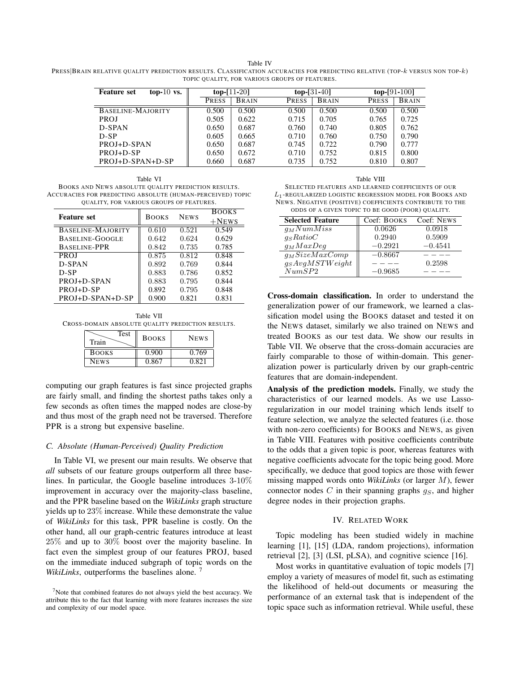Table IV PRESS|BRAIN RELATIVE QUALITY PREDICTION RESULTS. CLASSIFICATION ACCURACIES FOR PREDICTING RELATIVE (TOP-k VERSUS NON TOP-k) TOPIC QUALITY, FOR VARIOUS GROUPS OF FEATURES.

| top- $10$ vs.<br><b>Feature set</b> | $top-11-20$ |              | $top-131-40$ |              |              | $top-[91-100]$ |  |
|-------------------------------------|-------------|--------------|--------------|--------------|--------------|----------------|--|
|                                     | PRESS       | <b>BRAIN</b> | <b>PRESS</b> | <b>BRAIN</b> | <b>PRESS</b> | <b>BRAIN</b>   |  |
| BASELINE-MAJORITY                   | 0.500       | 0.500        | 0.500        | 0.500        | 0.500        | 0.500          |  |
| <b>PROJ</b>                         | 0.505       | 0.622        | 0.715        | 0.705        | 0.765        | 0.725          |  |
| D-SPAN                              | 0.650       | 0.687        | 0.760        | 0.740        | 0.805        | 0.762          |  |
| $D-SP$                              | 0.605       | 0.665        | 0.710        | 0.760        | 0.750        | 0.790          |  |
| PROJ+D-SPAN                         | 0.650       | 0.687        | 0.745        | 0.722        | 0.790        | 0.777          |  |
| PROJ+D-SP                           | 0.650       | 0.672        | 0.710        | 0.752        | 0.815        | 0.800          |  |
| PROJ+D-SPAN+D-SP                    | 0.660       | 0.687        | 0.735        | 0.752        | 0.810        | 0.807          |  |

Table VI BOOKS AND NEWS ABSOLUTE QUALITY PREDICTION RESULTS. ACCURACIES FOR PREDICTING ABSOLUTE (HUMAN-PERCEIVED) TOPIC QUALITY, FOR VARIOUS GROUPS OF FEATURES.

|                     |              |             | <b>BOOKS</b> |
|---------------------|--------------|-------------|--------------|
| <b>Feature set</b>  | <b>BOOKS</b> | <b>NEWS</b> | $+$ News     |
| BASELINE-MAJORITY   | 0.610        | 0.521       | 0.549        |
| BASELINE-GOOGLE     | 0.642        | 0.624       | 0.629        |
| <b>BASELINE-PPR</b> | 0.842        | 0.735       | 0.785        |
| <b>PROJ</b>         | 0.875        | 0.812       | 0.848        |
| D-SPAN              | 0.892        | 0.769       | 0.844        |
| D-SP                | 0.883        | 0.786       | 0.852        |
| PROJ+D-SPAN         | 0.883        | 0.795       | 0.844        |
| PROJ+D-SP           | 0.892        | 0.795       | 0.848        |
| PROJ+D-SPAN+D-SP    | 0.900        | 0.821       | 0.831        |

Table VII CROSS-DOMAIN ABSOLUTE QUALITY PREDICTION RESULTS.

| Test<br>Train | <b>BOOKS</b> | <b>NEWS</b> |
|---------------|--------------|-------------|
| <b>BOOKS</b>  | 0.900        | 0.769       |
| <b>NEWS</b>   | 0.867        | 0.821       |

computing our graph features is fast since projected graphs are fairly small, and finding the shortest paths takes only a few seconds as often times the mapped nodes are close-by and thus most of the graph need not be traversed. Therefore PPR is a strong but expensive baseline.

#### *C. Absolute (Human-Perceived) Quality Prediction*

In Table VI, we present our main results. We observe that *all* subsets of our feature groups outperform all three baselines. In particular, the Google baseline introduces 3-10% improvement in accuracy over the majority-class baseline, and the PPR baseline based on the *WikiLinks* graph structure yields up to 23% increase. While these demonstrate the value of *WikiLinks* for this task, PPR baseline is costly. On the other hand, all our graph-centric features introduce at least 25% and up to 30% boost over the majority baseline. In fact even the simplest group of our features PROJ, based on the immediate induced subgraph of topic words on the *WikiLinks*, outperforms the baselines alone.<sup>7</sup>



SELECTED FEATURES AND LEARNED COEFFICIENTS OF OUR L1-REGULARIZED LOGISTIC REGRESSION MODEL FOR BOOKS AND NEWS. NEGATIVE (POSITIVE) COEFFICIENTS CONTRIBUTE TO THE ODDS OF A GIVEN TOPIC TO BE GOOD (POOR) QUALITY.

| <b>Selected Feature</b> | Coef: BOOKS | Coef: NEWS |
|-------------------------|-------------|------------|
| $g_M NumMiss$           | 0.0626      | 0.0918     |
| $q_S Ratio$             | 0.2940      | 0.5909     |
| $g_M MaxDeg$            | $-0.2921$   | $-0.4541$  |
| $q_MSizeMaxComp$        | $-0.8667$   |            |
| $g_SAvgMSTWeight$       |             | 0.2598     |
| NumSP2                  | $-0.9685$   |            |

Cross-domain classification. In order to understand the generalization power of our framework, we learned a classification model using the BOOKS dataset and tested it on the NEWS dataset, similarly we also trained on NEWS and treated BOOKS as our test data. We show our results in Table VII. We observe that the cross-domain accuracies are fairly comparable to those of within-domain. This generalization power is particularly driven by our graph-centric features that are domain-independent.

Analysis of the prediction models. Finally, we study the characteristics of our learned models. As we use Lassoregularization in our model training which lends itself to feature selection, we analyze the selected features (i.e. those with non-zero coefficients) for BOOKS and NEWS, as given in Table VIII. Features with positive coefficients contribute to the odds that a given topic is poor, whereas features with negative coefficients advocate for the topic being good. More specifically, we deduce that good topics are those with fewer missing mapped words onto *WikiLinks* (or larger M), fewer connector nodes  $C$  in their spanning graphs  $g_S$ , and higher degree nodes in their projection graphs.

# IV. RELATED WORK

Topic modeling has been studied widely in machine learning [1], [15] (LDA, random projections), information retrieval [2], [3] (LSI, pLSA), and cognitive science [16].

Most works in quantitative evaluation of topic models [7] employ a variety of measures of model fit, such as estimating the likelihood of held-out documents or measuring the performance of an external task that is independent of the topic space such as information retrieval. While useful, these

 $<sup>7</sup>$ Note that combined features do not always yield the best accuracy. We</sup> attribute this to the fact that learning with more features increases the size and complexity of our model space.